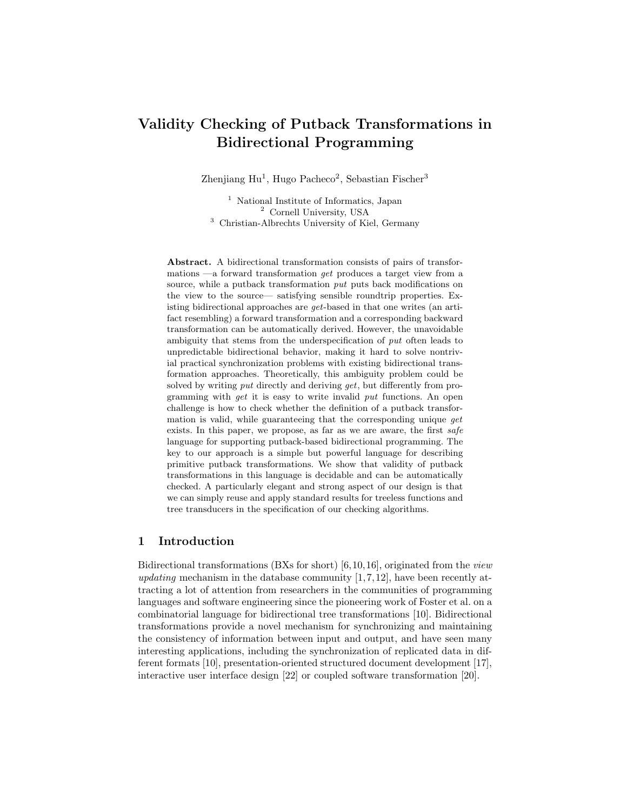# Validity Checking of Putback Transformations in Bidirectional Programming

 $\text{Zhenjiang Hu}^1$ , Hugo Pacheco<sup>2</sup>, Sebastian Fischer<sup>3</sup>

<sup>1</sup> National Institute of Informatics, Japan <sup>2</sup> Cornell University, USA <sup>3</sup> Christian-Albrechts University of Kiel, Germany

Abstract. A bidirectional transformation consists of pairs of transformations —a forward transformation get produces a target view from a source, while a putback transformation put puts back modifications on the view to the source— satisfying sensible roundtrip properties. Existing bidirectional approaches are get-based in that one writes (an artifact resembling) a forward transformation and a corresponding backward transformation can be automatically derived. However, the unavoidable ambiguity that stems from the underspecification of put often leads to unpredictable bidirectional behavior, making it hard to solve nontrivial practical synchronization problems with existing bidirectional transformation approaches. Theoretically, this ambiguity problem could be solved by writing put directly and deriving get, but differently from programming with get it is easy to write invalid put functions. An open challenge is how to check whether the definition of a putback transformation is valid, while guaranteeing that the corresponding unique *qet* exists. In this paper, we propose, as far as we are aware, the first safe language for supporting putback-based bidirectional programming. The key to our approach is a simple but powerful language for describing primitive putback transformations. We show that validity of putback transformations in this language is decidable and can be automatically checked. A particularly elegant and strong aspect of our design is that we can simply reuse and apply standard results for treeless functions and tree transducers in the specification of our checking algorithms.

# 1 Introduction

Bidirectional transformations (BXs for short) [6,10,16], originated from the *view* updating mechanism in the database community  $[1,7,12]$ , have been recently attracting a lot of attention from researchers in the communities of programming languages and software engineering since the pioneering work of Foster et al. on a combinatorial language for bidirectional tree transformations [10]. Bidirectional transformations provide a novel mechanism for synchronizing and maintaining the consistency of information between input and output, and have seen many interesting applications, including the synchronization of replicated data in different formats [10], presentation-oriented structured document development [17], interactive user interface design [22] or coupled software transformation [20].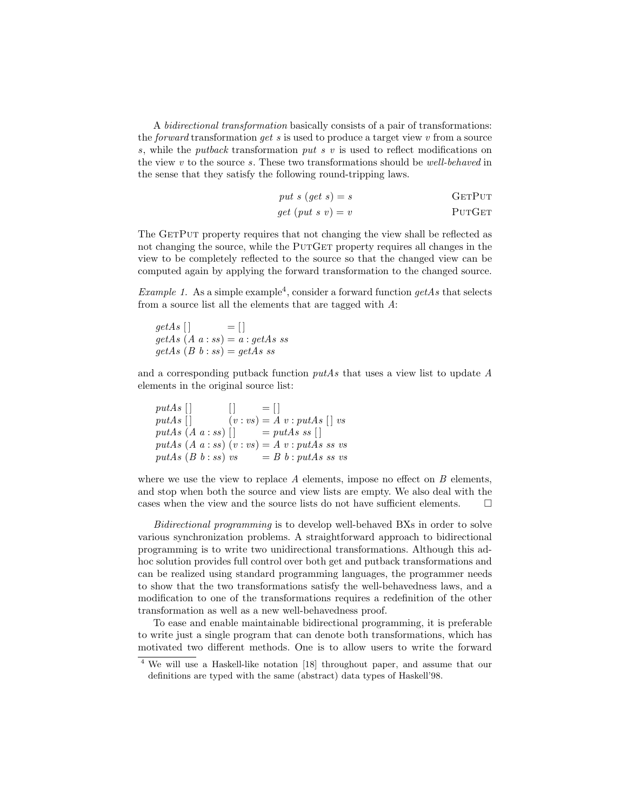A bidirectional transformation basically consists of a pair of transformations: the *forward* transformation get s is used to produce a target view  $v$  from a source s, while the *putback* transformation put s v is used to reflect modifications on the view v to the source s. These two transformations should be well-behaved in the sense that they satisfy the following round-tripping laws.

$$
put s (get s) = s
$$
 
$$
get (put s v) = v
$$
 
$$
PUTGET
$$
 
$$
PUTGET
$$

The GETPUT property requires that not changing the view shall be reflected as not changing the source, while the PUTGET property requires all changes in the view to be completely reflected to the source so that the changed view can be computed again by applying the forward transformation to the changed source.

*Example 1.* As a simple example<sup>4</sup>, consider a forward function getAs that selects from a source list all the elements that are tagged with A:

 $getAs \begin{bmatrix} \end{bmatrix} = \begin{bmatrix} \end{bmatrix}$  $getAs (A \ a : ss) = a : getAs ss$  $getAs (B b : ss) = getAs ss$ 

and a corresponding putback function  $putAs$  that uses a view list to update A elements in the original source list:

```
putAs [ | | | | | | | |putAs \begin{bmatrix} \end{bmatrix} (v : vs) = A \; v : putAs \begin{bmatrix} \end{bmatrix} vsputAs (A \ a : ss) \begin{bmatrix} \end{bmatrix} = putAs ss \begin{bmatrix} \end{bmatrix}putAs (A \ a : ss) (v : vs) = A \ v : putAs \ ss \ vsputAs (B \t{b} : ss) vs = B \t{b} : putAs \t{ss} vs
```
where we use the view to replace  $A$  elements, impose no effect on  $B$  elements, and stop when both the source and view lists are empty. We also deal with the cases when the view and the source lists do not have sufficient elements.  $\Box$ 

Bidirectional programming is to develop well-behaved BXs in order to solve various synchronization problems. A straightforward approach to bidirectional programming is to write two unidirectional transformations. Although this adhoc solution provides full control over both get and putback transformations and can be realized using standard programming languages, the programmer needs to show that the two transformations satisfy the well-behavedness laws, and a modification to one of the transformations requires a redefinition of the other transformation as well as a new well-behavedness proof.

To ease and enable maintainable bidirectional programming, it is preferable to write just a single program that can denote both transformations, which has motivated two different methods. One is to allow users to write the forward

<sup>4</sup> We will use a Haskell-like notation [18] throughout paper, and assume that our definitions are typed with the same (abstract) data types of Haskell'98.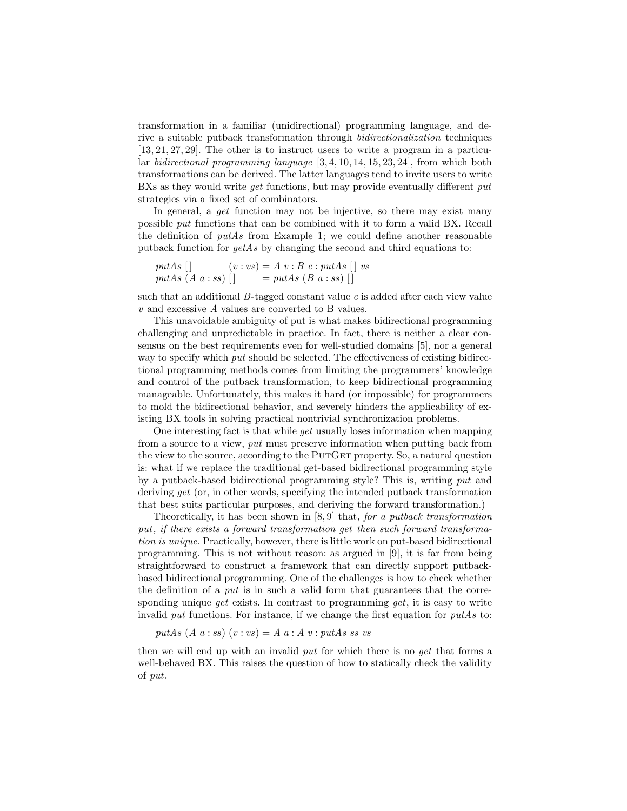transformation in a familiar (unidirectional) programming language, and derive a suitable putback transformation through bidirectionalization techniques [13, 21, 27, 29]. The other is to instruct users to write a program in a particular bidirectional programming language [3, 4, 10, 14, 15, 23, 24], from which both transformations can be derived. The latter languages tend to invite users to write BXs as they would write get functions, but may provide eventually different put strategies via a fixed set of combinators.

In general, a *get* function may not be injective, so there may exist many possible put functions that can be combined with it to form a valid BX. Recall the definition of  $putAs$  from Example 1; we could define another reasonable putback function for getAs by changing the second and third equations to:

$$
putAs \begin{bmatrix} ] & (v:vs) = A v : B c : putAs \begin{bmatrix} ] & vs \\ \end{bmatrix} \text{vstAs} \begin{bmatrix} A a : ss \end{bmatrix}
$$

such that an additional  $B$ -tagged constant value c is added after each view value v and excessive A values are converted to B values.

This unavoidable ambiguity of put is what makes bidirectional programming challenging and unpredictable in practice. In fact, there is neither a clear consensus on the best requirements even for well-studied domains [5], nor a general way to specify which *put* should be selected. The effectiveness of existing bidirectional programming methods comes from limiting the programmers' knowledge and control of the putback transformation, to keep bidirectional programming manageable. Unfortunately, this makes it hard (or impossible) for programmers to mold the bidirectional behavior, and severely hinders the applicability of existing BX tools in solving practical nontrivial synchronization problems.

One interesting fact is that while get usually loses information when mapping from a source to a view, put must preserve information when putting back from the view to the source, according to the PUTGET property. So, a natural question is: what if we replace the traditional get-based bidirectional programming style by a putback-based bidirectional programming style? This is, writing put and deriving get (or, in other words, specifying the intended putback transformation that best suits particular purposes, and deriving the forward transformation.)

Theoretically, it has been shown in [8, 9] that, for a putback transformation put, if there exists a forward transformation get then such forward transformation is unique. Practically, however, there is little work on put-based bidirectional programming. This is not without reason: as argued in [9], it is far from being straightforward to construct a framework that can directly support putbackbased bidirectional programming. One of the challenges is how to check whether the definition of a put is in such a valid form that guarantees that the corresponding unique *qet* exists. In contrast to programming *qet*, it is easy to write invalid put functions. For instance, if we change the first equation for  $putAs$  to:

putAs  $(A \ a : ss)$   $(v : vs) = A \ a : A \ v : putAs \ ss \ vs$ 

then we will end up with an invalid put for which there is no get that forms a well-behaved BX. This raises the question of how to statically check the validity of put.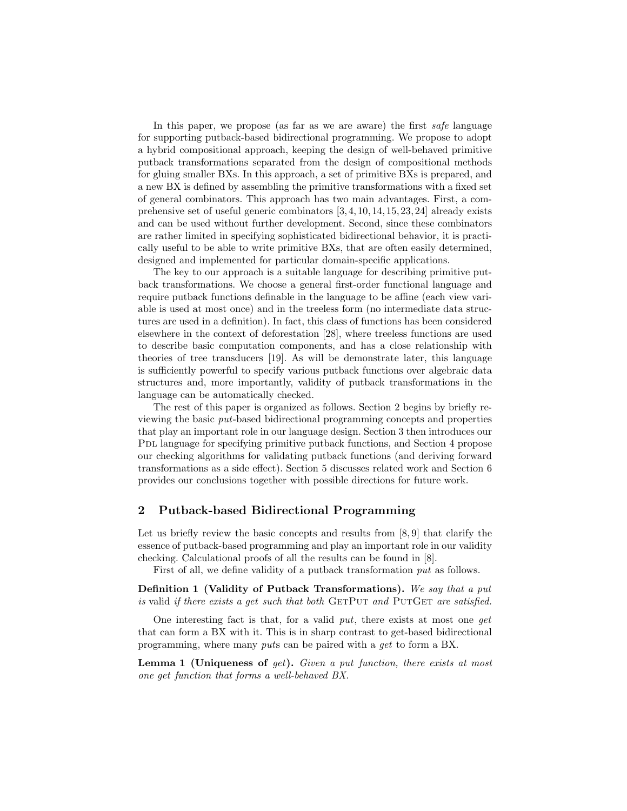In this paper, we propose (as far as we are aware) the first safe language for supporting putback-based bidirectional programming. We propose to adopt a hybrid compositional approach, keeping the design of well-behaved primitive putback transformations separated from the design of compositional methods for gluing smaller BXs. In this approach, a set of primitive BXs is prepared, and a new BX is defined by assembling the primitive transformations with a fixed set of general combinators. This approach has two main advantages. First, a comprehensive set of useful generic combinators [3, 4, 10, 14, 15, 23, 24] already exists and can be used without further development. Second, since these combinators are rather limited in specifying sophisticated bidirectional behavior, it is practically useful to be able to write primitive BXs, that are often easily determined, designed and implemented for particular domain-specific applications.

The key to our approach is a suitable language for describing primitive putback transformations. We choose a general first-order functional language and require putback functions definable in the language to be affine (each view variable is used at most once) and in the treeless form (no intermediate data structures are used in a definition). In fact, this class of functions has been considered elsewhere in the context of deforestation [28], where treeless functions are used to describe basic computation components, and has a close relationship with theories of tree transducers [19]. As will be demonstrate later, this language is sufficiently powerful to specify various putback functions over algebraic data structures and, more importantly, validity of putback transformations in the language can be automatically checked.

The rest of this paper is organized as follows. Section 2 begins by briefly reviewing the basic put-based bidirectional programming concepts and properties that play an important role in our language design. Section 3 then introduces our Pdl language for specifying primitive putback functions, and Section 4 propose our checking algorithms for validating putback functions (and deriving forward transformations as a side effect). Section 5 discusses related work and Section 6 provides our conclusions together with possible directions for future work.

### 2 Putback-based Bidirectional Programming

Let us briefly review the basic concepts and results from [8,9] that clarify the essence of putback-based programming and play an important role in our validity checking. Calculational proofs of all the results can be found in [8].

First of all, we define validity of a putback transformation put as follows.

Definition 1 (Validity of Putback Transformations). We say that a put is valid if there exists a get such that both  $GETPUT$  and  $PUTGET$  are satisfied.

One interesting fact is that, for a valid  $put$ , there exists at most one get that can form a BX with it. This is in sharp contrast to get-based bidirectional programming, where many puts can be paired with a get to form a BX.

**Lemma 1 (Uniqueness of**  $get$ ). Given a put function, there exists at most one get function that forms a well-behaved BX.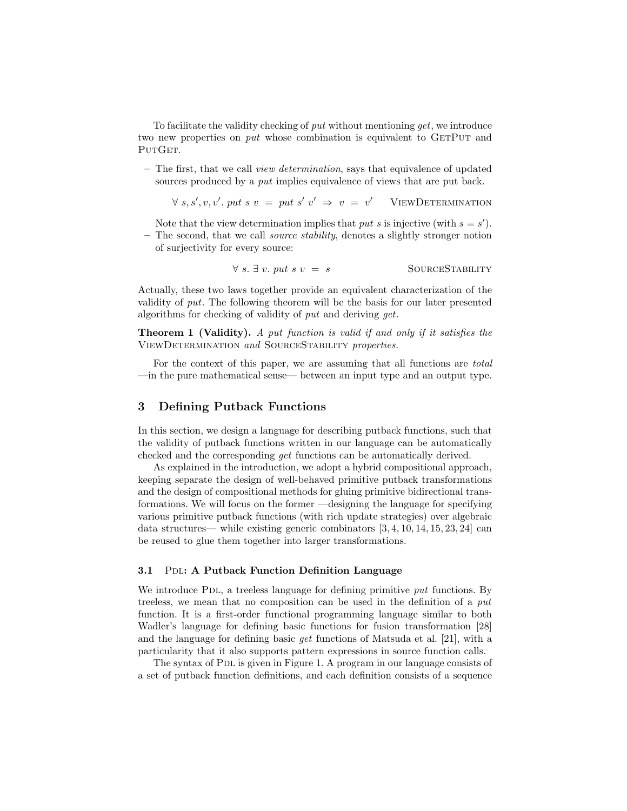To facilitate the validity checking of put without mentioning get, we introduce two new properties on put whose combination is equivalent to GETPUT and PUTGET.

– The first, that we call view determination, says that equivalence of updated sources produced by a *put* implies equivalence of views that are put back.

$$
\forall s, s', v, v'. \text{ put } s \ v = put \ s' \ v' \ \Rightarrow \ v = v' \quad \text{ViewDETERMINATION}
$$

Note that the view determination implies that put s is injective (with  $s = s'$ ).

– The second, that we call source stability, denotes a slightly stronger notion of surjectivity for every source:

$$
\forall s. \exists v. \; put \; s \; v = s
$$
 **Source**STABILITY

Actually, these two laws together provide an equivalent characterization of the validity of put. The following theorem will be the basis for our later presented algorithms for checking of validity of put and deriving get.

**Theorem 1 (Validity).** A put function is valid if and only if it satisfies the VIEWDETERMINATION and SOURCESTABILITY properties.

For the context of this paper, we are assuming that all functions are total —in the pure mathematical sense— between an input type and an output type.

## 3 Defining Putback Functions

In this section, we design a language for describing putback functions, such that the validity of putback functions written in our language can be automatically checked and the corresponding get functions can be automatically derived.

As explained in the introduction, we adopt a hybrid compositional approach, keeping separate the design of well-behaved primitive putback transformations and the design of compositional methods for gluing primitive bidirectional transformations. We will focus on the former —designing the language for specifying various primitive putback functions (with rich update strategies) over algebraic data structures— while existing generic combinators [3, 4, 10, 14, 15, 23, 24] can be reused to glue them together into larger transformations.

#### 3.1 PDL: A Putback Function Definition Language

We introduce PDL, a treeless language for defining primitive put functions. By treeless, we mean that no composition can be used in the definition of a put function. It is a first-order functional programming language similar to both Wadler's language for defining basic functions for fusion transformation [28] and the language for defining basic get functions of Matsuda et al. [21], with a particularity that it also supports pattern expressions in source function calls.

The syntax of PDL is given in Figure 1. A program in our language consists of a set of putback function definitions, and each definition consists of a sequence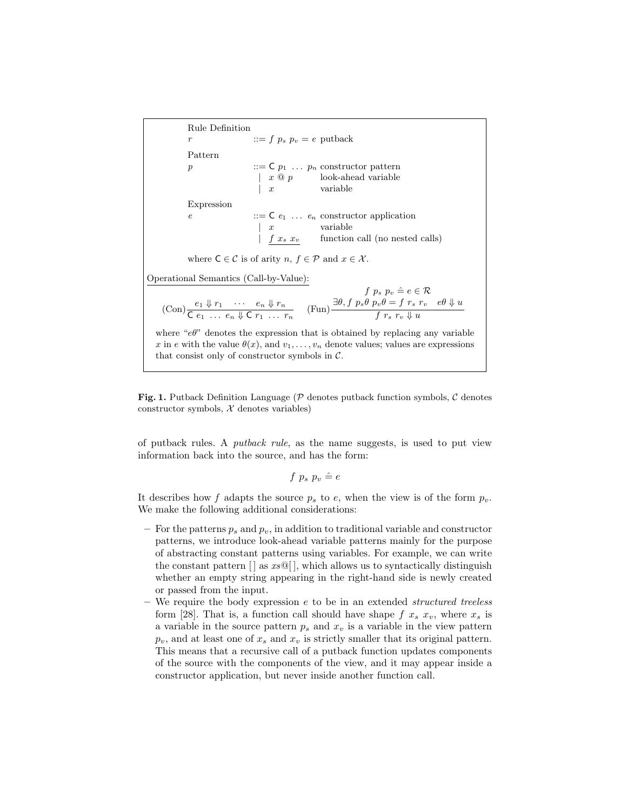Rule Definition r  $:= f p_s p_v = e$  putback Pattern  $p$  ::= C  $p_1$  ...  $p_n$  constructor pattern  $\left| x \otimes p \right|$  look-ahead variable | x variable Expression  $e$  ::=  $C e_1 \dots e_n$  constructor application  $x$  variable  $\int f x_s x_v$  function call (no nested calls) where  $C \in \mathcal{C}$  is of arity  $n, f \in \mathcal{P}$  and  $x \in \mathcal{X}$ . Operational Semantics (Call-by-Value):  $(\text{Con})\frac{e_1 \Downarrow r_1 \cdots e_n \Downarrow r_n}{\text{C} e_1 \cdots e_n \Downarrow \text{C} r_1 \cdots r_n}$  (Fun)  $f\ p_s\ p_v\mathrel{\hat=} e\in\mathcal{R}$  $\exists \theta, f \; p_s \theta \; p_v \theta = f \; r_s \; r_v \quad e\theta \Downarrow u$  $f\; r_s\; r_v \Downarrow u$ where " $e\theta$ " denotes the expression that is obtained by replacing any variable x in e with the value  $\theta(x)$ , and  $v_1, \ldots, v_n$  denote values; values are expressions that consist only of constructor symbols in  $C$ .

**Fig. 1.** Putback Definition Language ( $\mathcal{P}$  denotes putback function symbols,  $\mathcal{C}$  denotes constructor symbols,  $X$  denotes variables)

of putback rules. A putback rule, as the name suggests, is used to put view information back into the source, and has the form:

$$
f\ p_s\ p_v\mathrel{\hat{=}} e
$$

It describes how f adapts the source  $p_s$  to e, when the view is of the form  $p_v$ . We make the following additional considerations:

- For the patterns  $p_s$  and  $p_v$ , in addition to traditional variable and constructor patterns, we introduce look-ahead variable patterns mainly for the purpose of abstracting constant patterns using variables. For example, we can write the constant pattern  $\left[ \cdot \right]$  as  $xs@[\cdot]$ , which allows us to syntactically distinguish whether an empty string appearing in the right-hand side is newly created or passed from the input.
- We require the body expression  $e$  to be in an extended *structured treeless* form [28]. That is, a function call should have shape  $f(x_s, x_v)$ , where  $x_s$  is a variable in the source pattern  $p_s$  and  $x_v$  is a variable in the view pattern  $p_v$ , and at least one of  $x_s$  and  $x_v$  is strictly smaller that its original pattern. This means that a recursive call of a putback function updates components of the source with the components of the view, and it may appear inside a constructor application, but never inside another function call.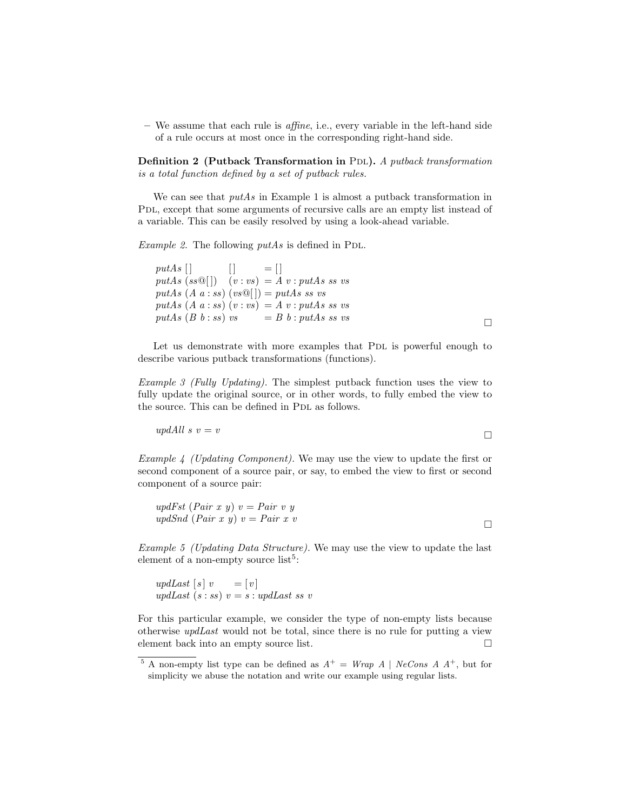– We assume that each rule is  $affine$ , i.e., every variable in the left-hand side of a rule occurs at most once in the corresponding right-hand side.

**Definition 2 (Putback Transformation in PDL).** A putback transformation is a total function defined by a set of putback rules.

We can see that  $putAs$  in Example 1 is almost a putback transformation in Pdl, except that some arguments of recursive calls are an empty list instead of a variable. This can be easily resolved by using a look-ahead variable.

*Example 2.* The following  $putAs$  is defined in PDL.

 $putAs [ ]$   $[ ]$   $= [ ]$  $putAs (ss@[]) (v : vs) = A v : putAs ss$ putAs  $(A \ a : ss)$   $(vs@[]) = putAs \ ss \ vs$ putAs  $(A \ a : ss)$   $(v : vs) = A \ v : putAs \ ss \ vs$  $putAs (B b : ss) vs = B b : putAs ss vs \Box$ 

Let us demonstrate with more examples that PDL is powerful enough to describe various putback transformations (functions).

Example 3 (Fully Updating). The simplest putback function uses the view to fully update the original source, or in other words, to fully embed the view to the source. This can be defined in PDL as follows.

updAll s  $v = v$ 

*Example 4 (Updating Component)*. We may use the view to update the first or second component of a source pair, or say, to embed the view to first or second component of a source pair:

$$
updFst (Pair x y) v = Pair v y
$$
  

$$
updSnd (Pair x y) v = Pair x v
$$

Example 5 (Updating Data Structure). We may use the view to update the last element of a non-empty source  $list<sup>5</sup>$ :

updLast  $[s]$  v =  $[v]$ updLast  $(s:ss)$   $v = s: updLast \; ss \; v$ 

For this particular example, we consider the type of non-empty lists because otherwise updLast would not be total, since there is no rule for putting a view element back into an empty source list.

<sup>&</sup>lt;sup>5</sup> A non-empty list type can be defined as  $A^+ = W \cdot r \cdot A + N \cdot c \cdot C \cdot r \cdot A + N \cdot b$  to for simplicity we abuse the notation and write our example using regular lists.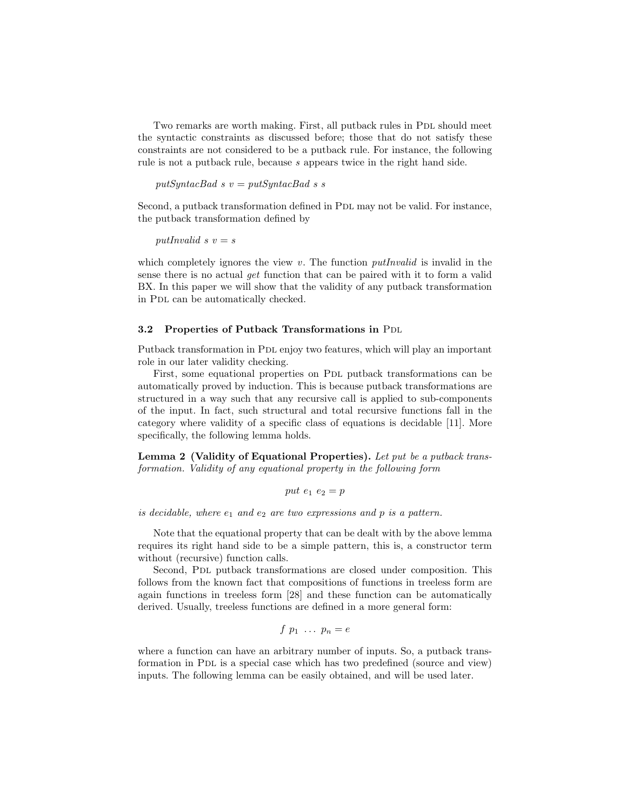Two remarks are worth making. First, all putback rules in PDL should meet the syntactic constraints as discussed before; those that do not satisfy these constraints are not considered to be a putback rule. For instance, the following rule is not a putback rule, because s appears twice in the right hand side.

 $putSyntacBad \, s \, v = putSyntacBad \, s \, s$ 

Second, a putback transformation defined in PDL may not be valid. For instance, the putback transformation defined by

putInvalid s  $v = s$ 

which completely ignores the view  $v$ . The function *putInvalid* is invalid in the sense there is no actual get function that can be paired with it to form a valid BX. In this paper we will show that the validity of any putback transformation in PDL can be automatically checked.

#### 3.2 Properties of Putback Transformations in PDL

Putback transformation in PDL enjoy two features, which will play an important role in our later validity checking.

First, some equational properties on PDL putback transformations can be automatically proved by induction. This is because putback transformations are structured in a way such that any recursive call is applied to sub-components of the input. In fact, such structural and total recursive functions fall in the category where validity of a specific class of equations is decidable [11]. More specifically, the following lemma holds.

Lemma 2 (Validity of Equational Properties). Let put be a putback transformation. Validity of any equational property in the following form

put  $e_1$   $e_2 = p$ 

is decidable, where  $e_1$  and  $e_2$  are two expressions and p is a pattern.

Note that the equational property that can be dealt with by the above lemma requires its right hand side to be a simple pattern, this is, a constructor term without (recursive) function calls.

Second, PDL putback transformations are closed under composition. This follows from the known fact that compositions of functions in treeless form are again functions in treeless form [28] and these function can be automatically derived. Usually, treeless functions are defined in a more general form:

$$
f\ p_1\ \ldots\ p_n=e
$$

where a function can have an arbitrary number of inputs. So, a putback transformation in PDL is a special case which has two predefined (source and view) inputs. The following lemma can be easily obtained, and will be used later.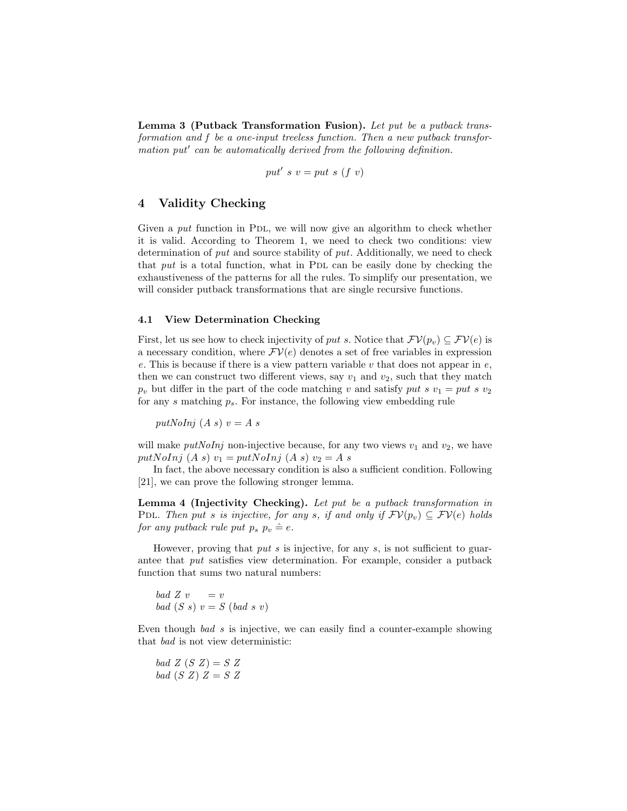Lemma 3 (Putback Transformation Fusion). Let put be a putback transformation and f be a one-input treeless function. Then a new putback transformation put' can be automatically derived from the following definition.

put's  $v = put s$  (f v)

# 4 Validity Checking

Given a put function in PDL, we will now give an algorithm to check whether it is valid. According to Theorem 1, we need to check two conditions: view determination of put and source stability of put. Additionally, we need to check that  $put$  is a total function, what in PDL can be easily done by checking the exhaustiveness of the patterns for all the rules. To simplify our presentation, we will consider putback transformations that are single recursive functions.

#### 4.1 View Determination Checking

First, let us see how to check injectivity of put s. Notice that  $\mathcal{F}V(p_v) \subseteq \mathcal{F}V(e)$  is a necessary condition, where  $\mathcal{FV}(e)$  denotes a set of free variables in expression e. This is because if there is a view pattern variable  $v$  that does not appear in  $e$ , then we can construct two different views, say  $v_1$  and  $v_2$ , such that they match  $p_v$  but differ in the part of the code matching v and satisfy put s  $v_1 = put s v_2$ for any  $s$  matching  $p_s$ . For instance, the following view embedding rule

putNoInj  $(A \ s) \ v = A \ s$ 

will make *putNoInj* non-injective because, for any two views  $v_1$  and  $v_2$ , we have putNoInj  $(A \ s) \ v_1 = putNoInj \ (A \ s) \ v_2 = A \ s$ 

In fact, the above necessary condition is also a sufficient condition. Following [21], we can prove the following stronger lemma.

Lemma 4 (Injectivity Checking). Let put be a putback transformation in PDL. Then put s is injective, for any s, if and only if  $\mathcal{F}V(p_v) \subseteq \mathcal{F}V(e)$  holds for any putback rule put  $p_s$   $p_v \triangleq e$ .

However, proving that put s is injective, for any s, is not sufficient to guarantee that put satisfies view determination. For example, consider a putback function that sums two natural numbers:

bad Z v  $= v$ bad  $(S s) v = S (bad s v)$ 

Even though bad s is injective, we can easily find a counter-example showing that bad is not view deterministic:

$$
bad\ Z\ (S\ Z) = S\ Z
$$
  

$$
bad\ (S\ Z)\ Z = S\ Z
$$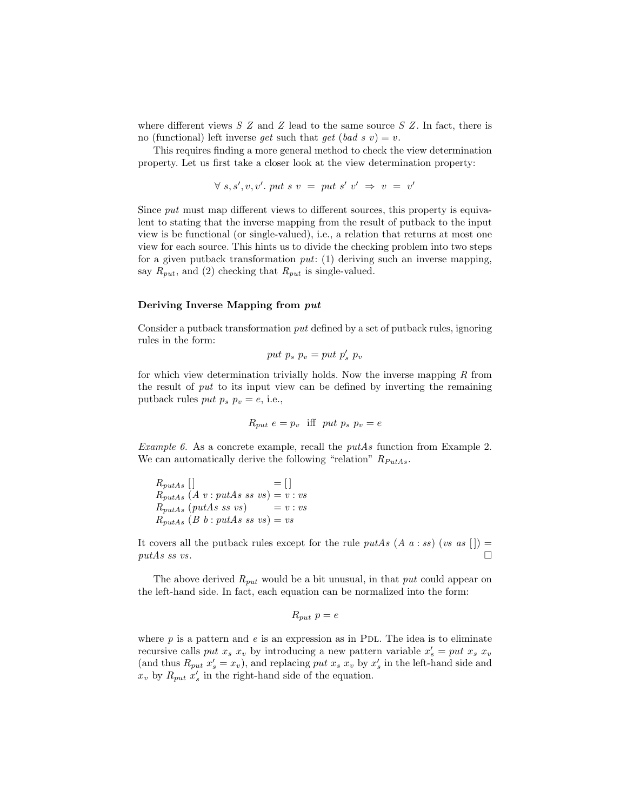where different views  $S Z$  and  $Z$  lead to the same source  $S Z$ . In fact, there is no (functional) left inverse get such that get (bad s v) = v.

This requires finding a more general method to check the view determination property. Let us first take a closer look at the view determination property:

$$
\forall s, s', v, v'.\ put\ s\ v = put\ s'\ v' \ \Rightarrow\ v = v'
$$

Since put must map different views to different sources, this property is equivalent to stating that the inverse mapping from the result of putback to the input view is be functional (or single-valued), i.e., a relation that returns at most one view for each source. This hints us to divide the checking problem into two steps for a given putback transformation  $put: (1)$  deriving such an inverse mapping, say  $R_{put}$ , and (2) checking that  $R_{put}$  is single-valued.

#### Deriving Inverse Mapping from put

Consider a putback transformation put defined by a set of putback rules, ignoring rules in the form:

$$
put\ p_s\ p_v = put\ p_s'\ p_v
$$

for which view determination trivially holds. Now the inverse mapping R from the result of put to its input view can be defined by inverting the remaining putback rules put  $p_s$   $p_v = e$ , i.e.,

$$
R_{put} e = p_v
$$
 iff  $put p_s p_v = e$ 

Example 6. As a concrete example, recall the  $putAs$  function from Example 2. We can automatically derive the following "relation"  $R_{PutAs}$ .

 $R_{putAs}$  []  $=$  []  $R_{putAs}$   $(A \, v : putAs \, ss \, vs) = v : vs$  $R_{putAs}$  (putAs ss vs)  $= v : vs$  $R_{putAs}$  (B b : putAs ss vs) = vs

It covers all the putback rules except for the rule putAs  $(A \ a : ss)$  (vs as  $[]$ ) =  $putAs \; ss \; vs.$ 

The above derived  $R_{put}$  would be a bit unusual, in that put could appear on the left-hand side. In fact, each equation can be normalized into the form:

$$
R_{put} \ p = e
$$

where  $p$  is a pattern and  $e$  is an expression as in PDL. The idea is to eliminate recursive calls put  $x_s$   $x_v$  by introducing a new pattern variable  $x'_s = put \; x_s \; x_v$ (and thus  $R_{put} x_s' = x_v$ ), and replacing put  $x_s x_v$  by  $x_s'$  in the left-hand side and  $x_v$  by  $R_{put}$   $x'_s$  in the right-hand side of the equation.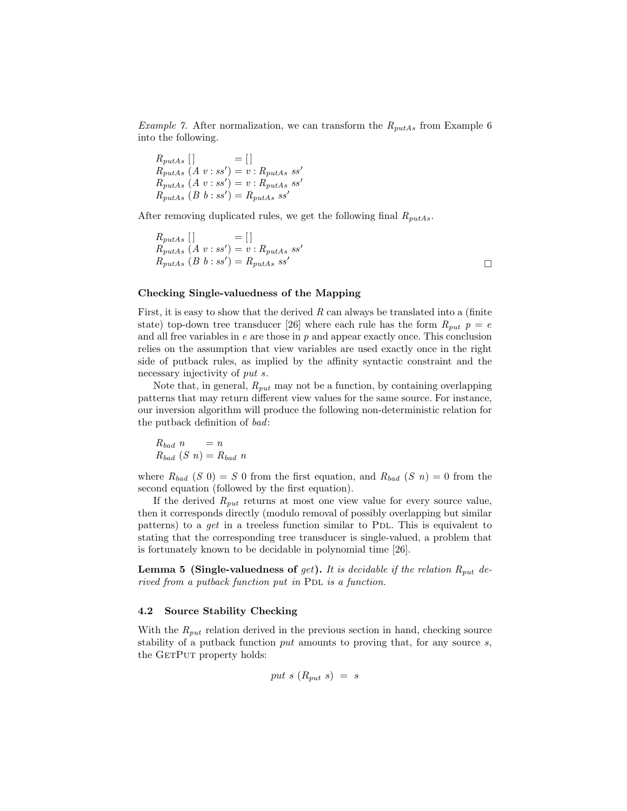*Example 7.* After normalization, we can transform the  $R_{putAs}$  from Example 6 into the following.

 $R_{putAs}$  []  $=$  []  $\overline{R}_{putAs}$   $(A \ v : ss') = v : R_{putAs}$  ss'  $\overline{R}_{putAs}$   $(A \ v : ss') = v : \overline{R}_{putAs}$  ss'  $\overline{R}_{putAs}$   $(B \ b : ss') = R_{putAs}$  ss'

After removing duplicated rules, we get the following final  $R_{putAs}$ .

 $R_{putAs}$  []  $=$  []  $\overline{R}_{putAs}$   $(A \ v : ss') = v : R_{putAs}$  ss'  $\overline{R}_{putAs}$   $(B \ b : ss') = R_{putAs}$  ss'

 $\Box$ 

### Checking Single-valuedness of the Mapping

First, it is easy to show that the derived  $R$  can always be translated into a (finite state) top-down tree transducer [26] where each rule has the form  $R_{put}$   $p = e$ and all free variables in  $e$  are those in  $p$  and appear exactly once. This conclusion relies on the assumption that view variables are used exactly once in the right side of putback rules, as implied by the affinity syntactic constraint and the necessary injectivity of put s.

Note that, in general,  $R_{put}$  may not be a function, by containing overlapping patterns that may return different view values for the same source. For instance, our inversion algorithm will produce the following non-deterministic relation for the putback definition of bad:

$$
R_{bad} n = n
$$
  

$$
R_{bad} (S n) = R_{bad} n
$$

where  $R_{bad}$  (S 0) = S 0 from the first equation, and  $R_{bad}$  (S n) = 0 from the second equation (followed by the first equation).

If the derived  $R_{put}$  returns at most one view value for every source value, then it corresponds directly (modulo removal of possibly overlapping but similar patterns) to a *get* in a treeless function similar to PDL. This is equivalent to stating that the corresponding tree transducer is single-valued, a problem that is fortunately known to be decidable in polynomial time [26].

**Lemma 5 (Single-valuedness of** get). It is decidable if the relation  $R_{put}$  derived from a putback function put in PDL is a function.

#### 4.2 Source Stability Checking

With the  $R_{put}$  relation derived in the previous section in hand, checking source stability of a putback function  $put$  amounts to proving that, for any source s, the GETPUT property holds:

$$
put\ s\ (R_{put}\ s)\ =\ s
$$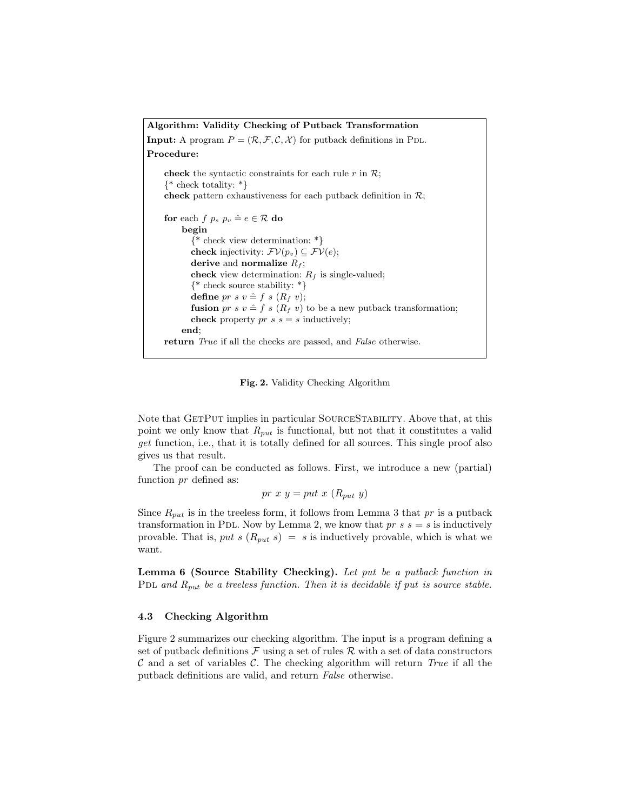Algorithm: Validity Checking of Putback Transformation **Input:** A program  $P = (\mathcal{R}, \mathcal{F}, \mathcal{C}, \mathcal{X})$  for putback definitions in PDL. Procedure: check the syntactic constraints for each rule  $r$  in  $\mathcal{R}$ ; {\* check totality: \*} check pattern exhaustiveness for each putback definition in  $\mathcal{R}$ ; for each  $f \, p_s \, p_v \stackrel{\scriptscriptstyle\triangle}{=} e \in \mathcal{R}$  do begin {\* check view determination: \*} check injectivity:  $\mathcal{F}\mathcal{V}(p_v) \subseteq \mathcal{F}\mathcal{V}(e);$ derive and normalize  $R_f$ ; check view determination:  $R_f$  is single-valued;  $\{\ast$  check source stability:  $\ast$ } define pr s  $v \triangleq f$  s  $(R_f v)$ ; fusion pr s  $v \triangleq f$  s  $(R_f \ v)$  to be a new putback transformation; check property  $pr s s = s$  inductively; end; return True if all the checks are passed, and False otherwise.

Fig. 2. Validity Checking Algorithm

Note that GETPUT implies in particular SOURCESTABILITY. Above that, at this point we only know that  $R_{put}$  is functional, but not that it constitutes a valid get function, i.e., that it is totally defined for all sources. This single proof also gives us that result.

The proof can be conducted as follows. First, we introduce a new (partial) function pr defined as:

$$
pr x y = put x (R_{put} y)
$$

Since  $R_{put}$  is in the treeless form, it follows from Lemma 3 that pr is a putback transformation in PDL. Now by Lemma 2, we know that  $pr s s = s$  is inductively provable. That is, put s  $(R_{put} s) = s$  is inductively provable, which is what we want.

Lemma 6 (Source Stability Checking). Let put be a putback function in PDL and  $R_{put}$  be a treeless function. Then it is decidable if put is source stable.

#### 4.3 Checking Algorithm

Figure 2 summarizes our checking algorithm. The input is a program defining a set of putback definitions  $\mathcal F$  using a set of rules  $\mathcal R$  with a set of data constructors  $\mathcal C$  and a set of variables  $\mathcal C$ . The checking algorithm will return True if all the putback definitions are valid, and return False otherwise.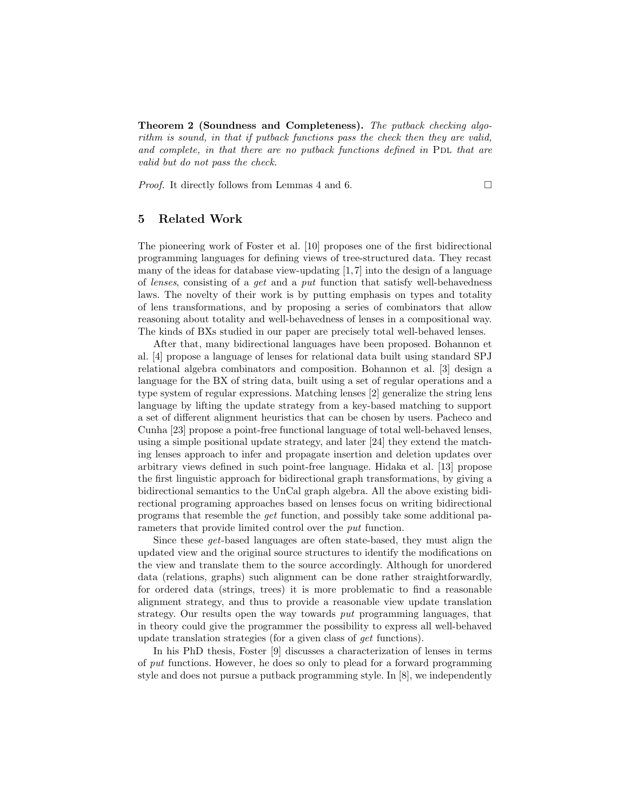Theorem 2 (Soundness and Completeness). The putback checking algorithm is sound, in that if putback functions pass the check then they are valid, and complete, in that there are no putback functions defined in PDL that are valid but do not pass the check.

*Proof.* It directly follows from Lemmas 4 and 6.  $\Box$ 

# 5 Related Work

The pioneering work of Foster et al. [10] proposes one of the first bidirectional programming languages for defining views of tree-structured data. They recast many of the ideas for database view-updating [1,7] into the design of a language of lenses, consisting of a get and a put function that satisfy well-behavedness laws. The novelty of their work is by putting emphasis on types and totality of lens transformations, and by proposing a series of combinators that allow reasoning about totality and well-behavedness of lenses in a compositional way. The kinds of BXs studied in our paper are precisely total well-behaved lenses.

After that, many bidirectional languages have been proposed. Bohannon et al. [4] propose a language of lenses for relational data built using standard SPJ relational algebra combinators and composition. Bohannon et al. [3] design a language for the BX of string data, built using a set of regular operations and a type system of regular expressions. Matching lenses [2] generalize the string lens language by lifting the update strategy from a key-based matching to support a set of different alignment heuristics that can be chosen by users. Pacheco and Cunha [23] propose a point-free functional language of total well-behaved lenses, using a simple positional update strategy, and later [24] they extend the matching lenses approach to infer and propagate insertion and deletion updates over arbitrary views defined in such point-free language. Hidaka et al. [13] propose the first linguistic approach for bidirectional graph transformations, by giving a bidirectional semantics to the UnCal graph algebra. All the above existing bidirectional programing approaches based on lenses focus on writing bidirectional programs that resemble the get function, and possibly take some additional parameters that provide limited control over the put function.

Since these get-based languages are often state-based, they must align the updated view and the original source structures to identify the modifications on the view and translate them to the source accordingly. Although for unordered data (relations, graphs) such alignment can be done rather straightforwardly, for ordered data (strings, trees) it is more problematic to find a reasonable alignment strategy, and thus to provide a reasonable view update translation strategy. Our results open the way towards put programming languages, that in theory could give the programmer the possibility to express all well-behaved update translation strategies (for a given class of get functions).

In his PhD thesis, Foster [9] discusses a characterization of lenses in terms of put functions. However, he does so only to plead for a forward programming style and does not pursue a putback programming style. In [8], we independently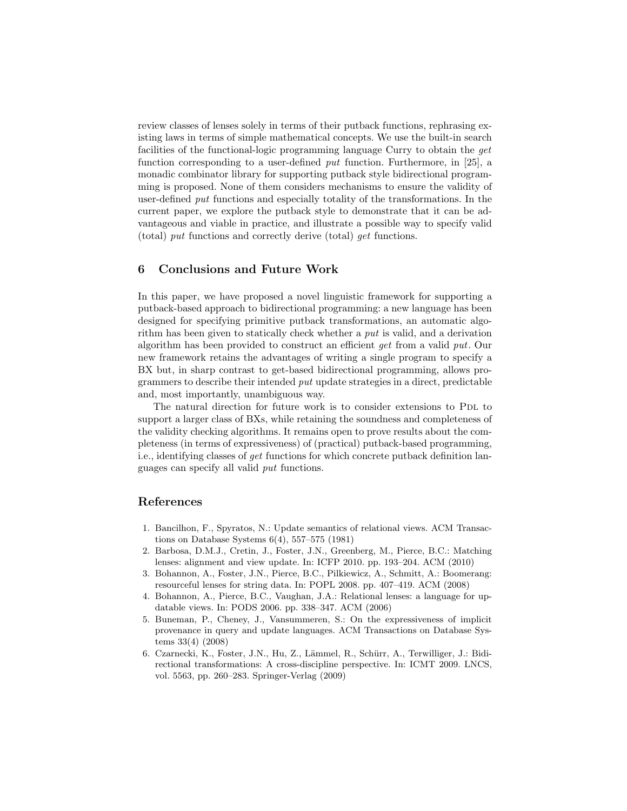review classes of lenses solely in terms of their putback functions, rephrasing existing laws in terms of simple mathematical concepts. We use the built-in search facilities of the functional-logic programming language Curry to obtain the get function corresponding to a user-defined put function. Furthermore, in [25], a monadic combinator library for supporting putback style bidirectional programming is proposed. None of them considers mechanisms to ensure the validity of user-defined put functions and especially totality of the transformations. In the current paper, we explore the putback style to demonstrate that it can be advantageous and viable in practice, and illustrate a possible way to specify valid (total) put functions and correctly derive (total) get functions.

# 6 Conclusions and Future Work

In this paper, we have proposed a novel linguistic framework for supporting a putback-based approach to bidirectional programming: a new language has been designed for specifying primitive putback transformations, an automatic algorithm has been given to statically check whether a put is valid, and a derivation algorithm has been provided to construct an efficient get from a valid put. Our new framework retains the advantages of writing a single program to specify a BX but, in sharp contrast to get-based bidirectional programming, allows programmers to describe their intended put update strategies in a direct, predictable and, most importantly, unambiguous way.

The natural direction for future work is to consider extensions to PDL to support a larger class of BXs, while retaining the soundness and completeness of the validity checking algorithms. It remains open to prove results about the completeness (in terms of expressiveness) of (practical) putback-based programming, i.e., identifying classes of get functions for which concrete putback definition languages can specify all valid put functions.

# References

- 1. Bancilhon, F., Spyratos, N.: Update semantics of relational views. ACM Transactions on Database Systems 6(4), 557–575 (1981)
- 2. Barbosa, D.M.J., Cretin, J., Foster, J.N., Greenberg, M., Pierce, B.C.: Matching lenses: alignment and view update. In: ICFP 2010. pp. 193–204. ACM (2010)
- 3. Bohannon, A., Foster, J.N., Pierce, B.C., Pilkiewicz, A., Schmitt, A.: Boomerang: resourceful lenses for string data. In: POPL 2008. pp. 407–419. ACM (2008)
- 4. Bohannon, A., Pierce, B.C., Vaughan, J.A.: Relational lenses: a language for updatable views. In: PODS 2006. pp. 338–347. ACM (2006)
- 5. Buneman, P., Cheney, J., Vansummeren, S.: On the expressiveness of implicit provenance in query and update languages. ACM Transactions on Database Systems 33(4) (2008)
- 6. Czarnecki, K., Foster, J.N., Hu, Z., Lämmel, R., Schürr, A., Terwilliger, J.: Bidirectional transformations: A cross-discipline perspective. In: ICMT 2009. LNCS, vol. 5563, pp. 260–283. Springer-Verlag (2009)